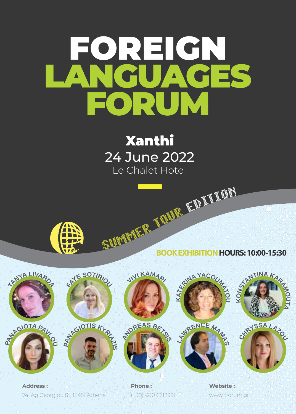# FOREIGN LANGUAGES FORUM

Xanthi 24 June 2022 Le Chalet Hotel



**<sup>F</sup>AY<sup>E</sup> <sup>S</sup>OTIR<sup>I</sup>O<sup>U</sup>**

SUMMER TO THE TABLE **BOOK EXHIBITION HOURS: 10:00-15:30**







74, Ag Georgiou St, 15451 Athens **Address : Phone : Website :**









**KO**  $\frac{1}{2}$  **A**  $\frac{1}{2}$  **C U TA**



(+30) -210 6712991 <sup>or</sup> www.flforum.gr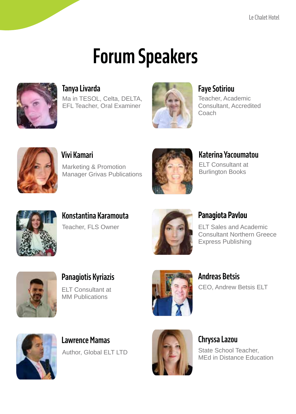## **Forum Speakers**



Ma in TESOL, Celta, DELTA, EFL Teacher, Oral Examiner



Teacher, Academic Consultant, Accredited Coach



**Vivi Kamari**

Marketing & Promotion Manager Grivas Publications



**Katerina Yacoumatou**

ELT Consultant at Burlington Books



**Konstantina Karamouta** Teacher, FLS Owner



### **Panagiota Pavlou**

ELT Sales and Academic Consultant Northern Greece Express Publishing



**Panagiotis Kyriazis** ELT Consultant at MM Publications



**Andreas Betsis** CEO, Andrew Betsis ELT



**Lawrence Mamas** Author, Global ELT LTD



**Chryssa Lazou** State School Teacher, MEd in Distance Education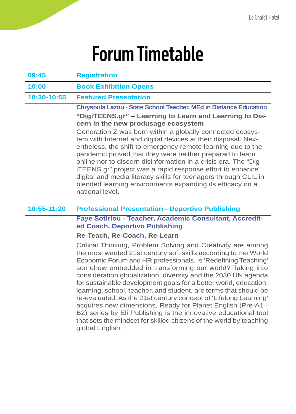| 09:45       | <b>Registration</b>                                                                                                                                                                                                                                                                                                                                                                                                                                                                                                                                                                                                                                                                                                     |
|-------------|-------------------------------------------------------------------------------------------------------------------------------------------------------------------------------------------------------------------------------------------------------------------------------------------------------------------------------------------------------------------------------------------------------------------------------------------------------------------------------------------------------------------------------------------------------------------------------------------------------------------------------------------------------------------------------------------------------------------------|
| 10:00       | <b>Book Exhibition Opens</b>                                                                                                                                                                                                                                                                                                                                                                                                                                                                                                                                                                                                                                                                                            |
| 10:30-10:55 | <b>Featured Presentation</b>                                                                                                                                                                                                                                                                                                                                                                                                                                                                                                                                                                                                                                                                                            |
|             | <b>Chrysoula Lazou - State School Teacher, MEd in Distance Education</b><br>"DigiTEENS.gr" – Learning to Learn and Learning to Dis-<br>cern in the new produsage ecosystem<br>Generation Z was born within a globally connected ecosys-<br>tem with Internet and digital devices at their disposal. Nev-<br>ertheless, the shift to emergency remote learning due to the<br>pandemic proved that they were neither prepared to learn<br>online nor to discern disinformation in a crisis era. The "Dig-<br>ITEENS.gr" project was a rapid response effort to enhance<br>digital and media literacy skills for teenagers through CLIL in<br>blended learning environments expanding its efficacy on a<br>national level. |
| 10:55-11:20 | <b>Professional Presentation - Deportivo Publishing</b>                                                                                                                                                                                                                                                                                                                                                                                                                                                                                                                                                                                                                                                                 |
|             | <b>Faye Sotiriou - Teacher, Academic Consultant, Accredit-</b><br>ed Coach, Deportivo Publishing<br>Re-Teach, Re-Coach, Re-Learn                                                                                                                                                                                                                                                                                                                                                                                                                                                                                                                                                                                        |
|             | Critical Thinking, Problem Solving and Creativity are among<br>the most wanted 21st century soft skills according to the World<br>Economic Forum and HR professionals. Is 'Redefining Teaching'<br>somehow embedded in transforming our world? Taking into<br>consideration globalization, diversity and the 2030 UN agenda<br>for sustainable development goals for a better world, education,<br>learning, school, teacher, and student, are terms that should be<br>re-evaluated. As the 21st century concept of 'Lifelong Learning'<br>acquires new dimensions, Ready for Planet English (Pre-A1 -                                                                                                                  |

B2) series by Eli Publishing is the innovative educational tool that sets the mindset for skilled citizens of the world by teaching global English.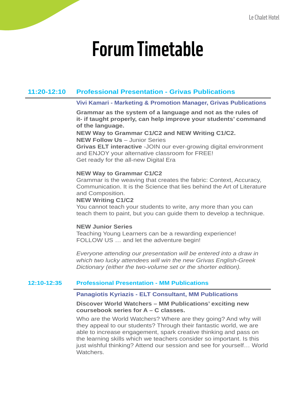#### **11:20-12:10 Professional Presentation - Grivas Publications**

#### **Vivi Kamari - Marketing & Promotion Manager, Grivas Publications**

**Grammar as the system of a language and not as the rules of it- if taught properly, can help improve your students' command of the language.**

**NEW Way to Grammar C1/C2 and NEW Writing C1/C2. NEW Follow Us** – Junior Series **Grivas ELT interactive** -JOIN our ever-growing digital environment and ENJOY your alternative classroom for FREE! Get ready for the all-new Digital Era

#### **NEW Way to Grammar C1/C2**

Grammar is the weaving that creates the fabric: Context, Accuracy, Communication. It is the Science that lies behind the Art of Literature and Composition.

#### **NEW Writing C1/C2**

You cannot teach your students to write, any more than you can teach them to paint, but you can guide them to develop a technique.

#### **NEW Junior Series**

Teaching Young Learners can be a rewarding experience! FOLLOW US … and let the adventure begin!

*Everyone attending our presentation will be entered into a draw in which two lucky attendees will win the new Grivas English-Greek Dictionary (either the two-volume set or the shorter edition).*

#### **12:10-12:35 Professional Presentation - MM Publications**

#### **Panagiotis Kyriazis - ELT Consultant, MM Publications**

#### **Discover World Watchers – MM Publications' exciting new coursebook series for A – C classes.**

Who are the World Watchers? Where are they going? And why will they appeal to our students? Through their fantastic world, we are able to increase engagement, spark creative thinking and pass on the learning skills which we teachers consider so important. Is this just wishful thinking? Attend our session and see for yourself... World **Watchers**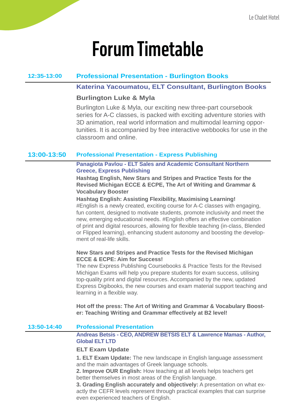#### **12:35-13:00 Professional Presentation - Burlington Books**

#### **Katerina Yacoumatou, ELT Consultant, Burlington Books**

#### **Burlington Luke & Myla**

Burlington Luke & Myla, our exciting new three-part coursebook series for A-C classes, is packed with exciting adventure stories with 3D animation, real world information and multimodal learning opportunities. It is accompanied by free interactive webbooks for use in the classroom and online.

#### **13:00-13:50 Professional Presentation - Express Publishing**

#### **Panagiota Pavlou - ELT Sales and Academic Consultant Northern Greece, Express Publishing**

**Hashtag English, New Stars and Stripes and Practice Tests for the Revised Michigan ECCE & ECPE, The Art of Writing and Grammar & Vocabulary Booster**

#### **Hashtag English: Assisting Flexibility, Maximising Learning!**

#English is a newly created, exciting course for A-C classes with engaging, fun content, designed to motivate students, promote inclusivity and meet the new, emerging educational needs. #English offers an effective combination of print and digital resources, allowing for flexible teaching (in-class, Blended or Flipped learning), enhancing student autonomy and boosting the development of real-life skills.

#### **New Stars and Stripes and Practice Tests for the Revised Michigan ECCE & ECPE: Aim for Success!**

The new Express Publishing Coursebooks & Practice Tests for the Revised Michigan Exams will help you prepare students for exam success, utilising top-quality print and digital resources. Accompanied by the new, updated Express Digibooks, the new courses and exam material support teaching and learning in a flexible way.

**Hot off the press: The Art of Writing and Grammar & Vocabulary Booster: Teaching Writing and Grammar effectively at B2 level!**

#### **13:50-14:40 Professional Presentation**

#### **Andreas Betsis - CEO, ANDREW BETSIS ELT & Lawrence Mamas - Author, Global ELT LTD**

#### **ELT Exam Update**

**1. ELT Exam Update:** The new landscape in English language assessment and the main advantages of Greek language schools.

**2. Improve OUR English:** How teaching at all levels helps teachers get better themselves in most areas of the English language.

**3. Grading English accurately and objectively:** A presentation on what exactly the CEFR levels represent through practical examples that can surprise even experienced teachers of English.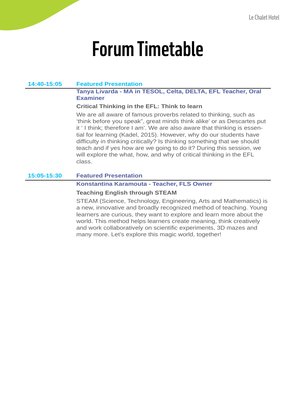#### **14:40-15:05 Featured Presentation**

#### **Tanya Livarda - MA in TESOL, Celta, DELTA, EFL Teacher, Oral Examiner**

#### **Critical Thinking in the EFL: Think to learn**

We are all aware of famous proverbs related to thinking, such as 'think before you speak", great minds think alike' or as Descartes put it ' I think; therefore I am'. We are also aware that thinking is essential for learning (Kadel, 2015). However, why do our students have difficulty in thinking critically? Is thinking something that we should teach and if yes how are we going to do it? During this session, we will explore the what, how, and why of critical thinking in the EFL class.

#### **15:05-15:30 Featured Presentation**

#### **Konstantina Karamouta - Teacher, FLS Owner**

#### **Teaching English through STEAM**

STEAM (Science, Technology, Engineering, Arts and Mathematics) is a new, innovative and broadly recognized method of teaching. Young learners are curious, they want to explore and learn more about the world. This method helps learners create meaning, think creatively and work collaboratively on scientific experiments, 3D mazes and many more. Let's explore this magic world, together!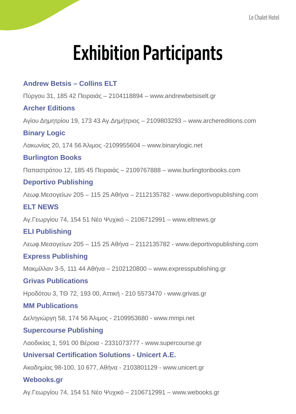## **Exhibition Participants**

### **Andrew Betsis – Collins ELT**

Πύργου 31, 185 42 Πειραιάς – 2104118894 – www.andrewbetsiselt.gr

#### **Archer Editions**

Αγίου Δημητρίου 19, 173 43 Αγ.Δημήτριος – 2109803293 – www.archereditions.com

#### **Binary Logic**

Λακωνίας 20, 174 56 Άλιμος -2109955604 – www.binarylogic.net

#### **Burlington Books**

Παπαστράτου 12, 185 45 Πειραιάς – 2109767888 – www.burlingtonbooks.com

#### **Deportivo Publishing**

Λεωφ.Μεσογείων 205 – 115 25 Αθήνα – 2112135782 - www.deportivopublishing.com

#### **ELT NEWS**

Αγ.Γεωργίου 74, 154 51 Νέο Ψυχικό – 2106712991 – www.eltnews.gr

#### **ELI Publishing**

Λεωφ.Μεσογείων 205 – 115 25 Αθήνα – 2112135782 - www.deportivopublishing.com

#### **Express Publishing**

Μακμίλλαν 3-5, 111 44 Αθήνα – 2102120800 – www.expresspublishing.gr

#### **Grivas Publications**

Ηροδότου 3, ΤΘ 72, 193 00, Αττική - 210 5573470 - www.grivas.gr

#### **MM Publications**

Δεληγιώργη 58, 174 56 Άλιμος - 2109953680 - www.mmpi.net

#### **Supercourse Publishing**

Λαοδικίας 1, 591 00 Βέροια - 2331073777 - www.supercourse.gr

#### **Universal Certification Solutions - Unicert A.E.**

Ακαδημίας 98-100, 10 677, Αθήνα - 2103801129 - www.unicert.gr

#### **Webooks.gr**

Αγ.Γεωργίου 74, 154 51 Νέο Ψυχικό – 2106712991 – www.webooks.gr